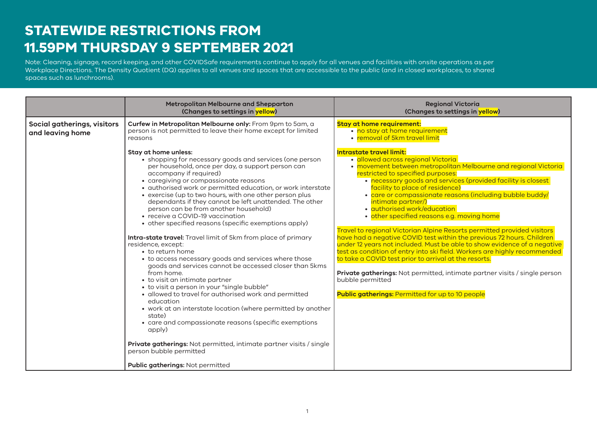## **STATEWIDE RESTRICTIONS FROM 11.59PM THURSDAY 9 SEPTEMBER 2021**

Note: Cleaning, signage and record keeping requirements and other COVIDSafe requirements continue to apply for many venues and facilities. A density quotient applies to all Note: Cleaning, signage, record keeping, and other COVIDSafe requirements continue to apply for all venues and facilities with onsite operations as per and the stations of the station of the station of the station of the s Workplace Directions. The Density Quotient (DQ) applies to all venues and spaces that are accessible to the public (and in closed workplaces, to shared spaces such as lunchrooms).

| Curfew in Metropolitan Melbourne only: From 9pm to 5am, a<br>Social gatherings, visitors<br>person is not permitted to leave their home except for limited<br>and leaving home<br>reasons                                                                                                                                                                                                                                                                                                                                                                                                                                                                                                                                                                                                                                                                                                                                                                                                                                                                                                                                                                                                                                              | <b>Stay at home requirement:</b><br>· no stay at home requirement<br>• removal of 5km travel limit                                                                                                                                                                                                                                                                                                                                                                                                                                                                                                                                                                                                                                                                                                                                                                                                                                                                                 |
|----------------------------------------------------------------------------------------------------------------------------------------------------------------------------------------------------------------------------------------------------------------------------------------------------------------------------------------------------------------------------------------------------------------------------------------------------------------------------------------------------------------------------------------------------------------------------------------------------------------------------------------------------------------------------------------------------------------------------------------------------------------------------------------------------------------------------------------------------------------------------------------------------------------------------------------------------------------------------------------------------------------------------------------------------------------------------------------------------------------------------------------------------------------------------------------------------------------------------------------|------------------------------------------------------------------------------------------------------------------------------------------------------------------------------------------------------------------------------------------------------------------------------------------------------------------------------------------------------------------------------------------------------------------------------------------------------------------------------------------------------------------------------------------------------------------------------------------------------------------------------------------------------------------------------------------------------------------------------------------------------------------------------------------------------------------------------------------------------------------------------------------------------------------------------------------------------------------------------------|
|                                                                                                                                                                                                                                                                                                                                                                                                                                                                                                                                                                                                                                                                                                                                                                                                                                                                                                                                                                                                                                                                                                                                                                                                                                        |                                                                                                                                                                                                                                                                                                                                                                                                                                                                                                                                                                                                                                                                                                                                                                                                                                                                                                                                                                                    |
| Stay at home unless:<br>• shopping for necessary goods and services (one person<br>per household, once per day, a support person can<br>accompany if required)<br>• caregiving or compassionate reasons<br>· authorised work or permitted education, or work interstate<br>• exercise (up to two hours, with one other person plus<br>dependants if they cannot be left unattended. The other<br>person can be from another household)<br>• receive a COVID-19 vaccination<br>• other specified reasons (specific exemptions apply)<br><b>Intra-state travel:</b> Travel limit of 5km from place of primary<br>residence, except:<br>• to return home<br>• to access necessary goods and services where those<br>goods and services cannot be accessed closer than 5kms<br>from home.<br>• to visit an intimate partner<br>• to visit a person in your "single bubble"<br>· allowed to travel for authorised work and permitted<br>education<br>• work at an interstate location (where permitted by another<br>state)<br>• care and compassionate reasons (specific exemptions<br>apply)<br>Private gatherings: Not permitted, intimate partner visits / single<br>person bubble permitted<br><b>Public gatherings: Not permitted</b> | <b>Intrastate travel limit:</b><br>· allowed across regional Victoria<br>• movement between metropolitan Melbourne and regional Victoria<br>restricted to specified purposes:<br>• necessary goods and services (provided facility is closest<br>facility to place of residence)<br>• care or compassionate reasons (including bubble buddy/<br>intimate partner/)<br>· authorised work/education<br>• other specified reasons e.g. moving home<br>Travel to regional Victorian Alpine Resorts permitted provided visitors<br>have had a negative COVID test within the previous 72 hours. Children<br>under 12 years not included. Must be able to show evidence of a negative<br>test as condition of entry into ski field. Workers are highly recommended<br>to take a COVID test prior to arrival at the resorts.<br>Private gatherings: Not permitted, intimate partner visits / single person<br>bubble permitted<br><b>Public gatherings: Permitted for up to 10 people</b> |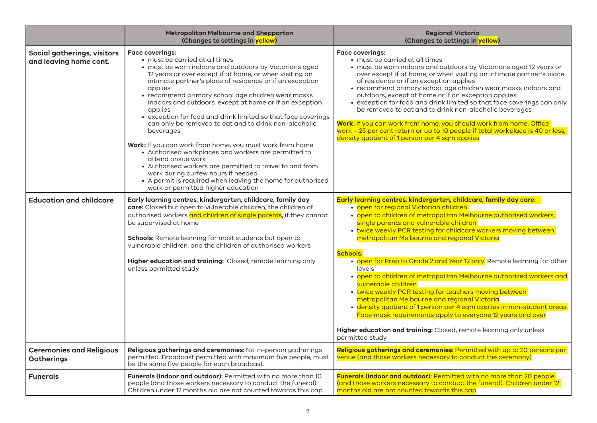|                                                       | Metropolitan Melbourne and Shepparton<br>(Changes to settings in yellow)                                                                                                                                                                                                                                                                                                                                                                                                                                                                                                                                                                                                                                                                                                                                                                                                 | <b>Regional Victoria</b><br>(Changes to settings in yellow)                                                                                                                                                                                                                                                                                                                                                                                                                                                                                                                                                                                                                                                                                                                                                                                                                                  |
|-------------------------------------------------------|--------------------------------------------------------------------------------------------------------------------------------------------------------------------------------------------------------------------------------------------------------------------------------------------------------------------------------------------------------------------------------------------------------------------------------------------------------------------------------------------------------------------------------------------------------------------------------------------------------------------------------------------------------------------------------------------------------------------------------------------------------------------------------------------------------------------------------------------------------------------------|----------------------------------------------------------------------------------------------------------------------------------------------------------------------------------------------------------------------------------------------------------------------------------------------------------------------------------------------------------------------------------------------------------------------------------------------------------------------------------------------------------------------------------------------------------------------------------------------------------------------------------------------------------------------------------------------------------------------------------------------------------------------------------------------------------------------------------------------------------------------------------------------|
| Social gatherings, visitors<br>and leaving home cont. | <b>Face coverings:</b><br>• must be carried at all times<br>• must be worn indoors and outdoors by Victorians aged<br>12 years or over except if at home, or when visiting an<br>intimate partner's place of residence or if an exception<br>applies<br>• recommend primary school age children wear masks<br>indoors and outdoors, except at home or if an exception<br>applies<br>• exception for food and drink limited so that face coverings<br>can only be removed to eat and to drink non-alcoholic<br>beverages<br>Work: If you can work from home, you must work from home<br>• Authorised workplaces and workers are permitted to<br>attend onsite work<br>• Authorised workers are permitted to travel to and from<br>work during curfew hours if needed<br>• A permit is required when leaving the home for authorised<br>work or permitted higher education | <b>Face coverings:</b><br>• must be carried at all times<br>• must be worn indoors and outdoors by Victorians aged 12 years or<br>over except if at home, or when visiting an intimate partner's place<br>of residence or if an exception applies<br>• recommend primary school age children wear masks indoors and<br>outdoors, except at home or if an exception applies<br>• exception for food and drink limited so that face coverings can only<br>be removed to eat and to drink non-alcoholic beverages<br>Work: If you can work from home, you should work from home. Office<br>work - 25 per cent return or up to 10 people if total workplace is 40 or less,<br>density quotient of 1 person per 4 sqm applies                                                                                                                                                                     |
| <b>Education and childcare</b>                        | Early learning centres, kindergarten, childcare, family day<br>care: Closed but open to vulnerable children, the children of<br>authorised workers and children of single parents, if they cannot<br>be supervised at home<br>Schools: Remote learning for most students but open to<br>vulnerable children, and the children of authorised workers<br>Higher education and training: Closed, remote learning only<br>unless permitted study                                                                                                                                                                                                                                                                                                                                                                                                                             | Early learning centres, kindergarten, childcare, family day care:<br>· open for regional Victorian children<br>• open to children of metropolitan Melbourne authorised workers,<br>single parents and vulnerable children<br>• twice weekly PCR testing for childcare workers moving between<br>metropolitan Melbourne and regional Victoria<br><b>Schools:</b><br>• open for Prep to Grade 2 and Year 12 only. Remote learning for other<br>levels<br>• open to children of metropolitan Melbourne authorized workers and<br>vulnerable children<br>• twice weekly PCR testing for teachers moving between<br>metropolitan Melbourne and regional Victoria<br>· density quotient of 1 person per 4 sqm applies in non-student areas.<br>Face mask requirements apply to everyone 12 years and over<br>Higher education and training: Closed, remote learning only unless<br>permitted study |
| <b>Ceremonies and Religious</b><br><b>Gatherings</b>  | Religious gatherings and ceremonies: No in-person gatherings<br>permitted. Broadcast permitted with maximum five people, must<br>be the same five people for each broadcast.                                                                                                                                                                                                                                                                                                                                                                                                                                                                                                                                                                                                                                                                                             | Religious gatherings and ceremonies: Permitted with up to 20 persons per<br>venue (and those workers necessary to conduct the ceremony)                                                                                                                                                                                                                                                                                                                                                                                                                                                                                                                                                                                                                                                                                                                                                      |
| <b>Funerals</b>                                       | Funerals (indoor and outdoor): Permitted with no more than 10<br>people (and those workers necessary to conduct the funeral).<br>Children under 12 months old are not counted towards this cap                                                                                                                                                                                                                                                                                                                                                                                                                                                                                                                                                                                                                                                                           | Funerals (indoor and outdoor): Permitted with no more than 20 people<br>(and those workers necessary to conduct the funeral). Children under 12<br>months old are not counted towards this cap                                                                                                                                                                                                                                                                                                                                                                                                                                                                                                                                                                                                                                                                                               |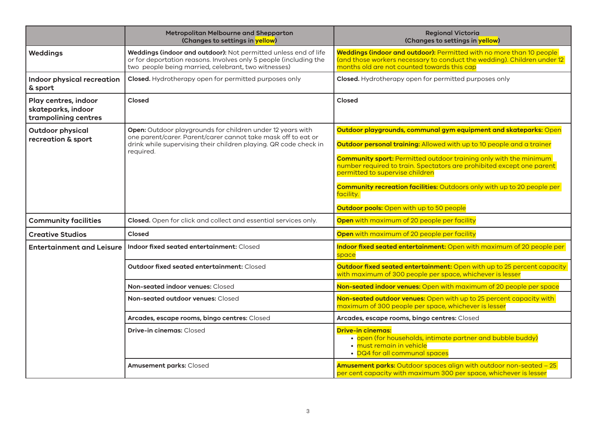|                                                                    | Metropolitan Melbourne and Shepparton<br>(Changes to settings in yellow)                                                                                                                                     | <b>Regional Victoria</b><br>(Changes to settings in yellow)                                                                                                                                    |
|--------------------------------------------------------------------|--------------------------------------------------------------------------------------------------------------------------------------------------------------------------------------------------------------|------------------------------------------------------------------------------------------------------------------------------------------------------------------------------------------------|
| <b>Weddings</b>                                                    | Weddings (indoor and outdoor): Not permitted unless end of life<br>or for deportation reasons. Involves only 5 people (including the<br>two people being married, celebrant, two witnesses)                  | Weddings (indoor and outdoor): Permitted with no more than 10 people<br>(and those workers necessary to conduct the wedding). Children under 12<br>months old are not counted towards this cap |
| Indoor physical recreation<br>& sport                              | Closed. Hydrotherapy open for permitted purposes only                                                                                                                                                        | Closed. Hydrotherapy open for permitted purposes only                                                                                                                                          |
| Play centres, indoor<br>skateparks, indoor<br>trampolining centres | Closed                                                                                                                                                                                                       | Closed                                                                                                                                                                                         |
| <b>Outdoor physical</b>                                            | Open: Outdoor playgrounds for children under 12 years with<br>one parent/carer. Parent/carer cannot take mask off to eat or<br>drink while supervising their children playing. QR code check in<br>required. | Outdoor playgrounds, communal gym equipment and skateparks: Open                                                                                                                               |
| recreation & sport                                                 |                                                                                                                                                                                                              | Outdoor personal training: Allowed with up to 10 people and a trainer                                                                                                                          |
|                                                                    |                                                                                                                                                                                                              | <b>Community sport:</b> Permitted outdoor training only with the minimum<br>number required to train. Spectators are prohibited except one parent<br>permitted to supervise children           |
|                                                                    |                                                                                                                                                                                                              | Community recreation facilities: Outdoors only with up to 20 people per<br>facility.                                                                                                           |
|                                                                    |                                                                                                                                                                                                              | <b>Outdoor pools:</b> Open with up to 50 people                                                                                                                                                |
| <b>Community facilities</b>                                        | Closed. Open for click and collect and essential services only.                                                                                                                                              | Open with maximum of 20 people per facility                                                                                                                                                    |
| <b>Creative Studios</b>                                            | Closed                                                                                                                                                                                                       | Open with maximum of 20 people per facility                                                                                                                                                    |
| <b>Entertainment and Leisure</b>                                   | Indoor fixed seated entertainment: Closed                                                                                                                                                                    | Indoor fixed seated entertainment: Open with maximum of 20 people per<br>space                                                                                                                 |
|                                                                    | <b>Outdoor fixed seated entertainment: Closed</b>                                                                                                                                                            | Outdoor fixed seated entertainment: Open with up to 25 percent capacity<br>with maximum of 300 people per space, whichever is lesser                                                           |
|                                                                    | Non-seated indoor venues: Closed                                                                                                                                                                             | Non-seated indoor venues: Open with maximum of 20 people per space                                                                                                                             |
|                                                                    | Non-seated outdoor venues: Closed                                                                                                                                                                            | Non-seated outdoor venues: Open with up to 25 percent capacity with<br>maximum of 300 people per space, whichever is lesser                                                                    |
|                                                                    | Arcades, escape rooms, bingo centres: Closed                                                                                                                                                                 | Arcades, escape rooms, bingo centres: Closed                                                                                                                                                   |
|                                                                    | Drive-in cinemas: Closed                                                                                                                                                                                     | <b>Drive-in cinemas:</b><br>• open (for households, intimate partner and bubble buddy)<br>• must remain in vehicle<br>• DQ4 for all communal spaces                                            |
|                                                                    | <b>Amusement parks: Closed</b>                                                                                                                                                                               | Amusement parks: Outdoor spaces align with outdoor non-seated - 25<br>per cent capacity with maximum 300 per space, whichever is lesser                                                        |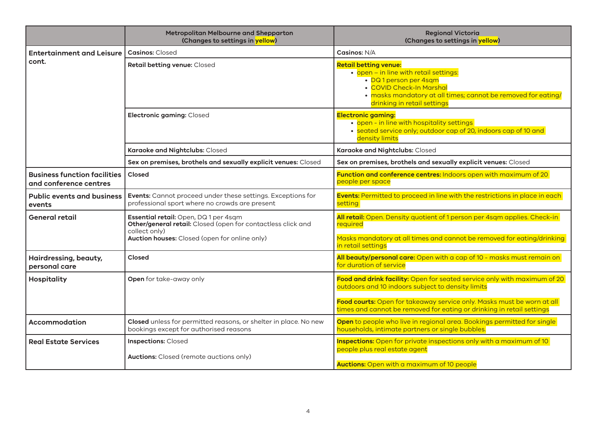|                                                               | Metropolitan Melbourne and Shepparton<br>(Changes to settings in yellow)                                                                                               | <b>Regional Victoria</b><br>(Changes to settings in yellow)                                                                                                                                                                                                                      |
|---------------------------------------------------------------|------------------------------------------------------------------------------------------------------------------------------------------------------------------------|----------------------------------------------------------------------------------------------------------------------------------------------------------------------------------------------------------------------------------------------------------------------------------|
| <b>Entertainment and Leisure</b>                              | <b>Casinos: Closed</b>                                                                                                                                                 | Casinos: N/A                                                                                                                                                                                                                                                                     |
| cont.                                                         | Retail betting venue: Closed                                                                                                                                           | <b>Retail betting venue:</b><br>· open - in line with retail settings:<br>• DQ1 person per 4sqm<br>• COVID Check-In Marshal<br>• masks mandatory at all times; cannot be removed for eating/<br>drinking in retail settings                                                      |
|                                                               | Electronic gaming: Closed                                                                                                                                              | <b>Electronic gaming:</b><br>• open - in line with hospitality settings<br>• seated service only; outdoor cap of 20, indoors cap of 10 and<br>density limits                                                                                                                     |
|                                                               | Karaoke and Nightclubs: Closed                                                                                                                                         | Karaoke and Nightclubs: Closed                                                                                                                                                                                                                                                   |
|                                                               | Sex on premises, brothels and sexually explicit venues: Closed                                                                                                         | Sex on premises, brothels and sexually explicit venues: Closed                                                                                                                                                                                                                   |
| <b>Business function facilities</b><br>and conference centres | Closed                                                                                                                                                                 | Function and conference centres: Indoors open with maximum of 20<br>people per space                                                                                                                                                                                             |
| <b>Public events and business</b><br>events                   | Events: Cannot proceed under these settings. Exceptions for<br>professional sport where no crowds are present                                                          | <b>Events:</b> Permitted to proceed in line with the restrictions in place in each<br>setting                                                                                                                                                                                    |
| General retail                                                | Essential retail: Open, DQ1 per 4sqm<br>Other/general retail: Closed (open for contactless click and<br>collect only)<br>Auction houses: Closed (open for online only) | All retail: Open. Density quotient of 1 person per 4sqm applies. Check-in<br>required<br>Masks mandatory at all times and cannot be removed for eating/drinking<br>in retail settings                                                                                            |
| Hairdressing, beauty,<br>personal care                        | Closed                                                                                                                                                                 | All beauty/personal care: Open with a cap of 10 - masks must remain on<br>for duration of service                                                                                                                                                                                |
| <b>Hospitality</b>                                            | Open for take-away only                                                                                                                                                | Food and drink facility: Open for seated service only with maximum of 20<br>outdoors and 10 indoors subject to density limits<br>Food courts: Open for takeaway service only. Masks must be worn at all<br>times and cannot be removed for eating or drinking in retail settings |
| Accommodation                                                 | Closed unless for permitted reasons, or shelter in place. No new<br>bookings except for authorised reasons                                                             | Open to people who live in regional area. Bookings permitted for single<br>households, intimate partners or single bubbles.                                                                                                                                                      |
| <b>Real Estate Services</b>                                   | <b>Inspections: Closed</b><br><b>Auctions:</b> Closed (remote auctions only)                                                                                           | Inspections: Open for private inspections only with a maximum of 10<br>people plus real estate agent<br><b>Auctions:</b> Open with a maximum of 10 people                                                                                                                        |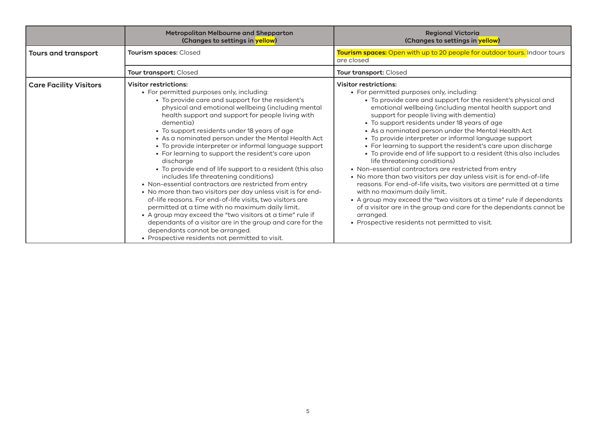|                               | Metropolitan Melbourne and Shepparton<br>(Changes to settings in yellow)                                                                                                                                                                                                                                                                                                                                                                                                                                                                                                                                                                                                                                                                                                                                                                                                                                                                                                                                                                               | <b>Regional Victoria</b><br>(Changes to settings in yellow)                                                                                                                                                                                                                                                                                                                                                                                                                                                                                                                                                                                                                                                                                                                                                                                                                                                                                                                                                                                     |
|-------------------------------|--------------------------------------------------------------------------------------------------------------------------------------------------------------------------------------------------------------------------------------------------------------------------------------------------------------------------------------------------------------------------------------------------------------------------------------------------------------------------------------------------------------------------------------------------------------------------------------------------------------------------------------------------------------------------------------------------------------------------------------------------------------------------------------------------------------------------------------------------------------------------------------------------------------------------------------------------------------------------------------------------------------------------------------------------------|-------------------------------------------------------------------------------------------------------------------------------------------------------------------------------------------------------------------------------------------------------------------------------------------------------------------------------------------------------------------------------------------------------------------------------------------------------------------------------------------------------------------------------------------------------------------------------------------------------------------------------------------------------------------------------------------------------------------------------------------------------------------------------------------------------------------------------------------------------------------------------------------------------------------------------------------------------------------------------------------------------------------------------------------------|
| <b>Tours and transport</b>    | Tourism spaces: Closed                                                                                                                                                                                                                                                                                                                                                                                                                                                                                                                                                                                                                                                                                                                                                                                                                                                                                                                                                                                                                                 | Tourism spaces: Open with up to 20 people for outdoor tours. Indoor tours<br>are closed                                                                                                                                                                                                                                                                                                                                                                                                                                                                                                                                                                                                                                                                                                                                                                                                                                                                                                                                                         |
|                               | Tour transport: Closed                                                                                                                                                                                                                                                                                                                                                                                                                                                                                                                                                                                                                                                                                                                                                                                                                                                                                                                                                                                                                                 | Tour transport: Closed                                                                                                                                                                                                                                                                                                                                                                                                                                                                                                                                                                                                                                                                                                                                                                                                                                                                                                                                                                                                                          |
| <b>Care Facility Visitors</b> | <b>Visitor restrictions:</b><br>• For permitted purposes only, including:<br>• To provide care and support for the resident's<br>physical and emotional wellbeing (including mental<br>health support and support for people living with<br>dementia)<br>• To support residents under 18 years of age<br>• As a nominated person under the Mental Health Act<br>• To provide interpreter or informal language support<br>• For learning to support the resident's care upon<br>discharge<br>• To provide end of life support to a resident (this also<br>includes life threatening conditions)<br>• Non-essential contractors are restricted from entry<br>• No more than two visitors per day unless visit is for end-<br>of-life reasons. For end-of-life visits, two visitors are<br>permitted at a time with no maximum daily limit<br>• A group may exceed the "two visitors at a time" rule if<br>dependants of a visitor are in the group and care for the<br>dependants cannot be arranged.<br>• Prospective residents not permitted to visit. | <b>Visitor restrictions:</b><br>• For permitted purposes only, including:<br>• To provide care and support for the resident's physical and<br>emotional wellbeing (including mental health support and<br>support for people living with dementia)<br>• To support residents under 18 years of age<br>• As a nominated person under the Mental Health Act<br>• To provide interpreter or informal language support<br>• For learning to support the resident's care upon discharge<br>• To provide end of life support to a resident (this also includes<br>life threatening conditions)<br>• Non-essential contractors are restricted from entry<br>• No more than two visitors per day unless visit is for end-of-life<br>reasons. For end-of-life visits, two visitors are permitted at a time<br>with no maximum daily limit<br>• A group may exceed the "two visitors at a time" rule if dependants<br>of a visitor are in the group and care for the dependants cannot be<br>arranged.<br>• Prospective residents not permitted to visit. |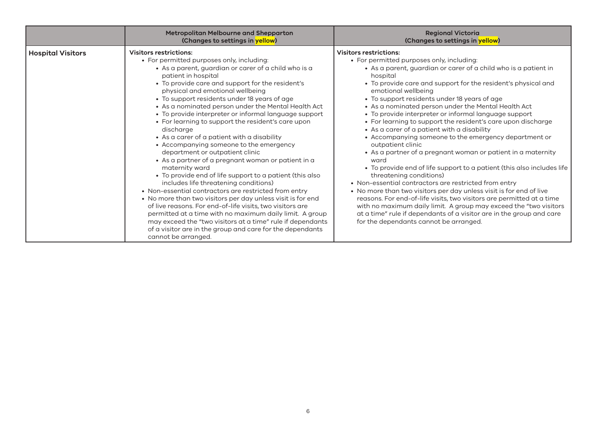|                          | Metropolitan Melbourne and Shepparton<br>(Changes to settings in yellow)                                                                                                                                                                                                                                                                                                                                                                                                                                                                                                                                                                                                                                                                                                                                                                                                                                                                                                                                                                                                                                                                                                                          | <b>Regional Victoria</b><br>(Changes to settings in yellow)                                                                                                                                                                                                                                                                                                                                                                                                                                                                                                                                                                                                                                                                                                                                                                                                                                                                                                                                                                                                                                                                                                                                 |
|--------------------------|---------------------------------------------------------------------------------------------------------------------------------------------------------------------------------------------------------------------------------------------------------------------------------------------------------------------------------------------------------------------------------------------------------------------------------------------------------------------------------------------------------------------------------------------------------------------------------------------------------------------------------------------------------------------------------------------------------------------------------------------------------------------------------------------------------------------------------------------------------------------------------------------------------------------------------------------------------------------------------------------------------------------------------------------------------------------------------------------------------------------------------------------------------------------------------------------------|---------------------------------------------------------------------------------------------------------------------------------------------------------------------------------------------------------------------------------------------------------------------------------------------------------------------------------------------------------------------------------------------------------------------------------------------------------------------------------------------------------------------------------------------------------------------------------------------------------------------------------------------------------------------------------------------------------------------------------------------------------------------------------------------------------------------------------------------------------------------------------------------------------------------------------------------------------------------------------------------------------------------------------------------------------------------------------------------------------------------------------------------------------------------------------------------|
| <b>Hospital Visitors</b> | <b>Visitors restrictions:</b><br>• For permitted purposes only, including:<br>• As a parent, guardian or carer of a child who is a<br>patient in hospital<br>• To provide care and support for the resident's<br>physical and emotional wellbeing<br>• To support residents under 18 years of age<br>• As a nominated person under the Mental Health Act<br>• To provide interpreter or informal language support<br>• For learning to support the resident's care upon<br>discharge<br>• As a carer of a patient with a disability<br>• Accompanying someone to the emergency<br>department or outpatient clinic<br>• As a partner of a pregnant woman or patient in a<br>maternity ward<br>• To provide end of life support to a patient (this also<br>includes life threatening conditions)<br>• Non-essential contractors are restricted from entry<br>• No more than two visitors per day unless visit is for end<br>of live reasons. For end-of-life visits, two visitors are<br>permitted at a time with no maximum daily limit. A group<br>may exceed the "two visitors at a time" rule if dependants<br>of a visitor are in the group and care for the dependants<br>cannot be arranged. | <b>Visitors restrictions:</b><br>• For permitted purposes only, including:<br>• As a parent, guardian or carer of a child who is a patient in<br>hospital<br>• To provide care and support for the resident's physical and<br>emotional wellbeing<br>• To support residents under 18 years of age<br>• As a nominated person under the Mental Health Act<br>• To provide interpreter or informal language support<br>• For learning to support the resident's care upon discharge<br>• As a carer of a patient with a disability<br>• Accompanying someone to the emergency department or<br>outpatient clinic<br>• As a partner of a pregnant woman or patient in a maternity<br>ward<br>• To provide end of life support to a patient (this also includes life<br>threatening conditions)<br>• Non-essential contractors are restricted from entry<br>• No more than two visitors per day unless visit is for end of live<br>reasons. For end-of-life visits, two visitors are permitted at a time<br>with no maximum daily limit. A group may exceed the "two visitors<br>at a time" rule if dependants of a visitor are in the group and care<br>for the dependants cannot be arranged. |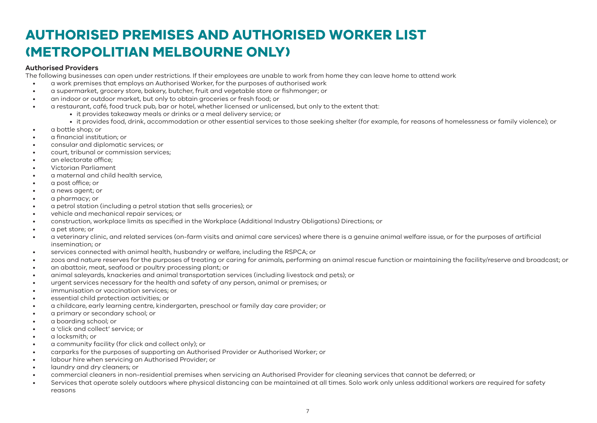# **AUTHORISED PREMISES AND AUTHORISED WORKER LIST (METROPOLITIAN MELBOURNE ONLY)**

### **Authorised Providers**

The following businesses can open under restrictions. If their employees are unable to work from home they can leave home to attend work

- a work premises that employs an Authorised Worker, for the purposes of authorised work
- a supermarket, grocery store, bakery, butcher, fruit and vegetable store or fishmonger; or
- an indoor or outdoor market, but only to obtain groceries or fresh food; or
- a restaurant, café, food truck pub, bar or hotel, whether licensed or unlicensed, but only to the extent that:
	- it provides takeaway meals or drinks or a meal delivery service; or
	- it provides food, drink, accommodation or other essential services to those seeking shelter (for example, for reasons of homelessness or family violence); or
- a bottle shop; or
- a financial institution; or
- consular and diplomatic services; or
- court, tribunal or commission services;
- an electorate office;
- Victorian Parliament
- a maternal and child health service,
- a post office; or
- a news agent; or
- a pharmacy; or
- a petrol station (including a petrol station that sells groceries); or
- vehicle and mechanical repair services; or
- construction, workplace limits as specified in the Workplace (Additional Industry Obligations) Directions; or
- a pet store; or
- a veterinary clinic, and related services (on-farm visits and animal care services) where there is a genuine animal welfare issue, or for the purposes of artificial insemination; or
- services connected with animal health, husbandry or welfare, including the RSPCA; or
- zoos and nature reserves for the purposes of treating or caring for animals, performing an animal rescue function or maintaining the facility/reserve and broadcast; or
- an abattoir, meat, seafood or poultry processing plant; or
- animal saleyards, knackeries and animal transportation services (including livestock and pets); or
- urgent services necessary for the health and safety of any person, animal or premises; or
- immunisation or vaccination services; or
- essential child protection activities; or
- a childcare, early learning centre, kindergarten, preschool or family day care provider; or
- a primary or secondary school; or
- a boarding school; or
- a 'click and collect' service; or
- a locksmith; or
- a community facility (for click and collect only); or
- carparks for the purposes of supporting an Authorised Provider or Authorised Worker; or
- labour hire when servicing an Authorised Provider; or
- laundry and dry cleaners; or
- commercial cleaners in non-residential premises when servicing an Authorised Provider for cleaning services that cannot be deferred; or
- Services that operate solely outdoors where physical distancing can be maintained at all times. Solo work only unless additional workers are required for safety reasons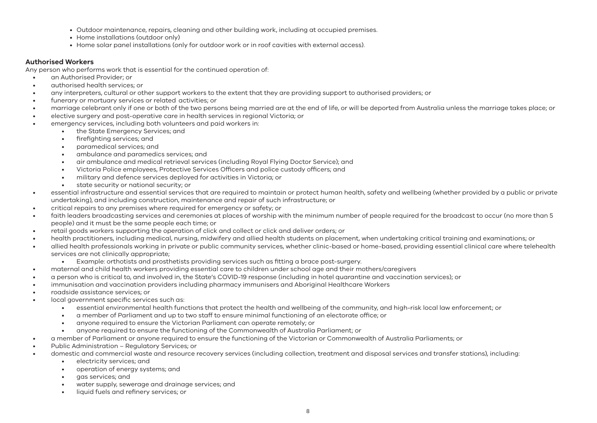- Outdoor maintenance, repairs, cleaning and other building work, including at occupied premises.
- Home installations (outdoor only)
- Home solar panel installations (only for outdoor work or in roof cavities with external access).

### **Authorised Workers**

Any person who performs work that is essential for the continued operation of:

- an Authorised Provider; or
- authorised health services; or
- any interpreters, cultural or other support workers to the extent that they are providing support to authorised providers; or
- funerary or mortuary services or related activities; or
- marriage celebrant only if one or both of the two persons being married are at the end of life, or will be deported from Australia unless the marriage takes place; or
- elective surgery and post-operative care in health services in regional Victoria; or
	- emergency services, including both volunteers and paid workers in:
		- the State Emergency Services; and
		- firefighting services; and
		- paramedical services; and
		- ambulance and paramedics services; and
		- air ambulance and medical retrieval services (including Royal Flying Doctor Service); and
		- Victoria Police employees, Protective Services Officers and police custody officers; and
		- military and defence services deployed for activities in Victoria; or
		- state security or national security; or
- essential infrastructure and essential services that are required to maintain or protect human health, safety and wellbeing (whether provided by a public or private undertaking), and including construction, maintenance and repair of such infrastructure; or
- critical repairs to any premises where required for emergency or safety; or
- faith leaders broadcasting services and ceremonies at places of worship with the minimum number of people required for the broadcast to occur (no more than 5 people) and it must be the same people each time; or
- retail goods workers supporting the operation of click and collect or click and deliver orders; or
- health practitioners, including medical, nursing, midwifery and allied health students on placement, when undertaking critical training and examinations; or
- allied health professionals working in private or public community services, whether clinic-based or home-based, providing essential clinical care where telehealth services are not clinically appropriate;
	- Example: orthotists and prosthetists providing services such as fitting a brace post-surgery.
- maternal and child health workers providing essential care to children under school age and their mothers/caregivers
- a person who is critical to, and involved in, the State's COVID-19 response (including in hotel quarantine and vaccination services); or
- immunisation and vaccination providers including pharmacy immunisers and Aboriginal Healthcare Workers
- roadside assistance services; or
- local government specific services such as:
	- essential environmental health functions that protect the health and wellbeing of the community, and high-risk local law enforcement; or
	- a member of Parliament and up to two staff to ensure minimal functioning of an electorate office; or
	- anyone required to ensure the Victorian Parliament can operate remotely; or
	- anyone required to ensure the functioning of the Commonwealth of Australia Parliament; or
- a member of Parliament or anyone required to ensure the functioning of the Victorian or Commonwealth of Australia Parliaments; or
- Public Administration Regulatory Services; or
- domestic and commercial waste and resource recovery services (including collection, treatment and disposal services and transfer stations), including:
	- electricity services; and
	- operation of energy systems; and
	- gas services; and
	- water supply, sewerage and drainage services; and
	- liquid fuels and refinery services; or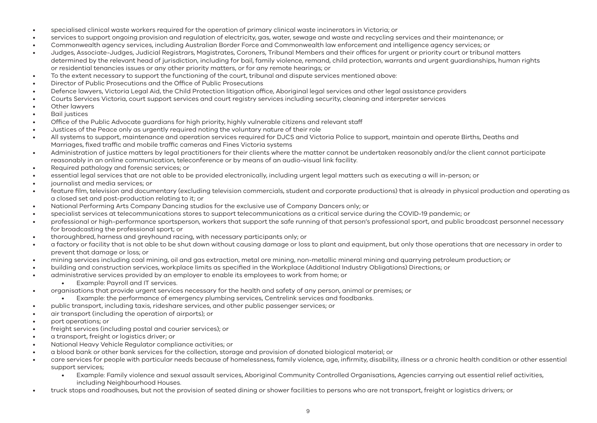- specialised clinical waste workers required for the operation of primary clinical waste incinerators in Victoria; or
- services to support ongoing provision and regulation of electricity, gas, water, sewage and waste and recycling services and their maintenance; or
- Commonwealth agency services, including Australian Border Force and Commonwealth law enforcement and intelligence agency services; or
- Judges, Associate-Judges, Judicial Registrars, Magistrates, Coroners, Tribunal Members and their offices for urgent or priority court or tribunal matters determined by the relevant head of jurisdiction, including for bail, family violence, remand, child protection, warrants and urgent guardianships, human rights or residential tenancies issues or any other priority matters, or for any remote hearings; or
- To the extent necessary to support the functioning of the court, tribunal and dispute services mentioned above:
- Director of Public Prosecutions and the Office of Public Prosecutions
- Defence lawyers, Victoria Legal Aid, the Child Protection litigation office, Aboriginal legal services and other legal assistance providers
- Courts Services Victoria, court support services and court registry services including security, cleaning and interpreter services
- Other lawyers
- Bail justices
- Office of the Public Advocate guardians for high priority, highly vulnerable citizens and relevant staff
- Justices of the Peace only as urgently required noting the voluntary nature of their role
- All systems to support, maintenance and operation services required for DJCS and Victoria Police to support, maintain and operate Births, Deaths and Marriages, fixed traffic and mobile traffic cameras and Fines Victoria systems
- Administration of justice matters by legal practitioners for their clients where the matter cannot be undertaken reasonably and/or the client cannot participate reasonably in an online communication, teleconference or by means of an audio-visual link facility.
- Required pathology and forensic services; or
- essential legal services that are not able to be provided electronically, including urgent legal matters such as executing a will in-person; or
- journalist and media services; or
- feature film, television and documentary (excluding television commercials, student and corporate productions) that is already in physical production and operating as a closed set and post-production relating to it; or
- National Performing Arts Company Dancing studios for the exclusive use of Company Dancers only; or
- specialist services at telecommunications stores to support telecommunications as a critical service during the COVID-19 pandemic; or
- professional or high-performance sportsperson, workers that support the safe running of that person's professional sport, and public broadcast personnel necessary for broadcasting the professional sport; or
- thoroughbred, harness and greyhound racing, with necessary participants only; or
- a factory or facility that is not able to be shut down without causing damage or loss to plant and equipment, but only those operations that are necessary in order to prevent that damage or loss; or
- mining services including coal mining, oil and gas extraction, metal ore mining, non-metallic mineral mining and quarrying petroleum production; or
- building and construction services, workplace limits as specified in the Workplace (Additional Industry Obligations) Directions; or
- administrative services provided by an employer to enable its employees to work from home; or
	- Example: Payroll and IT services.
- organisations that provide urgent services necessary for the health and safety of any person, animal or premises; or
	- Example: the performance of emergency plumbing services, Centrelink services and foodbanks.
- public transport, including taxis, rideshare services, and other public passenger services; or
- air transport (including the operation of airports); or
- port operations; or
- freight services (including postal and courier services); or
- a transport, freight or logistics driver; or
- National Heavy Vehicle Regulator compliance activities; or
- a blood bank or other bank services for the collection, storage and provision of donated biological material; or
- care services for people with particular needs because of homelessness, family violence, age, infirmity, disability, illness or a chronic health condition or other essential support services;
	- Example: Family violence and sexual assault services, Aboriginal Community Controlled Organisations, Agencies carrying out essential relief activities, including Neighbourhood Houses.
- truck stops and roadhouses, but not the provision of seated dining or shower facilities to persons who are not transport, freight or logistics drivers; or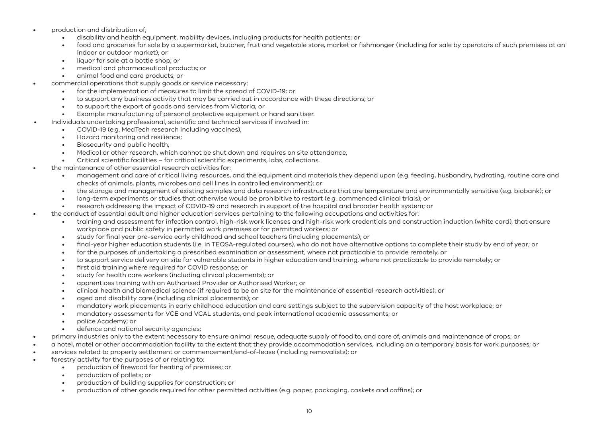- production and distribution of;
	- disability and health equipment, mobility devices, including products for health patients; or
	- food and groceries for sale by a supermarket, butcher, fruit and vegetable store, market or fishmonger (including for sale by operators of such premises at an indoor or outdoor market); or
	- liquor for sale at a bottle shop; or
	- medical and pharmaceutical products; or
	- animal food and care products; or
- commercial operations that supply goods or service necessary:
	- for the implementation of measures to limit the spread of COVID-19; or
	- to support any business activity that may be carried out in accordance with these directions; or
	- to support the export of goods and services from Victoria; or
	- Example: manufacturing of personal protective equipment or hand sanitiser.
	- Individuals undertaking professional, scientific and technical services if involved in:
		- COVID-19 (e.g. MedTech research including vaccines);
		- Hazard monitoring and resilience;
		- Biosecurity and public health;
		- Medical or other research, which cannot be shut down and requires on site attendance;
		- Critical scientific facilities for critical scientific experiments, labs, collections.
- the maintenance of other essential research activities for:
	- management and care of critical living resources, and the equipment and materials they depend upon (e.g. feeding, husbandry, hydrating, routine care and checks of animals, plants, microbes and cell lines in controlled environment); or
	- the storage and management of existing samples and data research infrastructure that are temperature and environmentally sensitive (e.g. biobank); or
	- long-term experiments or studies that otherwise would be prohibitive to restart (e.g. commenced clinical trials); or
	- research addressing the impact of COVID-19 and research in support of the hospital and broader health system; or
- the conduct of essential adult and higher education services pertaining to the following occupations and activities for:
	- training and assessment for infection control, high-risk work licenses and high-risk work credentials and construction induction (white card), that ensure workplace and public safety in permitted work premises or for permitted workers; or
	- study for final year pre-service early childhood and school teachers (including placements); or
	- final-year higher education students (i.e. in TEQSA-regulated courses), who do not have alternative options to complete their study by end of year; or
	- for the purposes of undertaking a prescribed examination or assessment, where not practicable to provide remotely, or
	- to support service delivery on site for vulnerable students in higher education and training, where not practicable to provide remotely; or
	- first aid training where required for COVID response; or
	- study for health care workers (including clinical placements); or
	- apprentices training with an Authorised Provider or Authorised Worker; or
	- clinical health and biomedical science (if required to be on site for the maintenance of essential research activities); or
	- aged and disability care (including clinical placements); or
	- mandatory work placements in early childhood education and care settings subject to the supervision capacity of the host workplace; or
	- mandatory assessments for VCE and VCAL students, and peak international academic assessments; or
	- police Academy; or
	- defence and national security agencies;
- primary industries only to the extent necessary to ensure animal rescue, adequate supply of food to, and care of, animals and maintenance of crops; or
- a hotel, motel or other accommodation facility to the extent that they provide accommodation services, including on a temporary basis for work purposes; or
- services related to property settlement or commencement/end-of-lease (including removalists); or
- forestry activity for the purposes of or relating to:
	- production of firewood for heating of premises; or
	- production of pallets; or
	- production of building supplies for construction; or
	- production of other goods required for other permitted activities (e.g. paper, packaging, caskets and coffins); or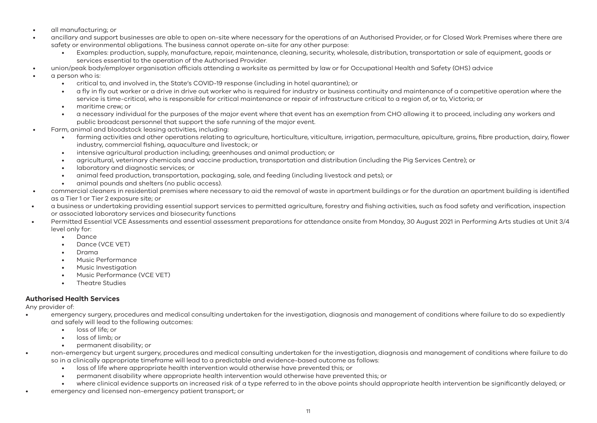- all manufacturing; or
- ancillary and support businesses are able to open on-site where necessary for the operations of an Authorised Provider, or for Closed Work Premises where there are safety or environmental obligations. The business cannot operate on-site for any other purpose:
	- Examples: production, supply, manufacture, repair, maintenance, cleaning, security, wholesale, distribution, transportation or sale of equipment, goods or services essential to the operation of the Authorised Provider.
	- union/peak body/employer organisation officials attending a worksite as permitted by law or for Occupational Health and Safety (OHS) advice
- a person who is:
	- critical to, and involved in, the State's COVID-19 response (including in hotel quarantine); or
	- a fly in fly out worker or a drive in drive out worker who is required for industry or business continuity and maintenance of a competitive operation where the service is time-critical, who is responsible for critical maintenance or repair of infrastructure critical to a region of, or to, Victoria; or
	- maritime crew; or
	- a necessary individual for the purposes of the major event where that event has an exemption from CHO allowing it to proceed, including any workers and public broadcast personnel that support the safe running of the major event.
- Farm, animal and bloodstock leasing activities, including:
	- farming activities and other operations relating to agriculture, horticulture, viticulture, irrigation, permaculture, apiculture, grains, fibre production, dairy, flower industry, commercial fishing, aquaculture and livestock; or
	- intensive agricultural production including; greenhouses and animal production; or
	- agricultural, veterinary chemicals and vaccine production, transportation and distribution (including the Pig Services Centre); or
	- laboratory and diagnostic services; or
	- animal feed production, transportation, packaging, sale, and feeding (including livestock and pets); or
	- animal pounds and shelters (no public access).
- commercial cleaners in residential premises where necessary to aid the removal of waste in apartment buildings or for the duration an apartment building is identified as a Tier 1 or Tier 2 exposure site; or
- a business or undertaking providing essential support services to permitted agriculture, forestry and fishing activities, such as food safety and verification, inspection or associated laboratory services and biosecurity functions
- Permitted Essential VCE Assessments and essential assessment preparations for attendance onsite from Monday, 30 August 2021 in Performing Arts studies at Unit 3/4 level only for:
	- Dance
	- Dance (VCE VET)
	- Drama
	- Music Performance
	- Music Investigation
	- Music Performance (VCE VET)
	- Theatre Studies

#### **Authorised Health Services**

Any provider of:

- emergency surgery, procedures and medical consulting undertaken for the investigation, diagnosis and management of conditions where failure to do so expediently and safely will lead to the following outcomes:
	- loss of life; or
	- loss of limb; or
	- permanent disability; or
- non-emergency but urgent surgery, procedures and medical consulting undertaken for the investigation, diagnosis and management of conditions where failure to do so in a clinically appropriate timeframe will lead to a predictable and evidence-based outcome as follows:
	- loss of life where appropriate health intervention would otherwise have prevented this; or
	- permanent disability where appropriate health intervention would otherwise have prevented this; or
	- where clinical evidence supports an increased risk of a type referred to in the above points should appropriate health intervention be significantly delayed; or
- emergency and licensed non-emergency patient transport; or